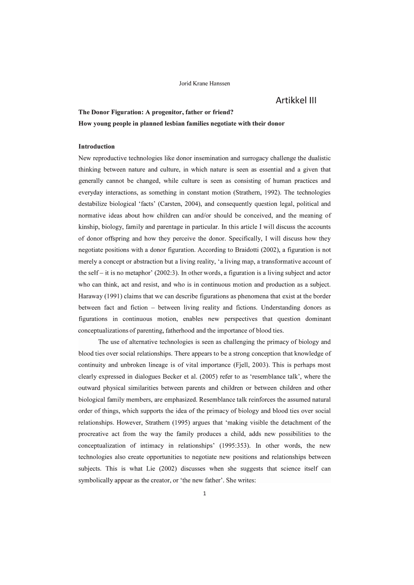# Artikkel III

# The Donor Figuration: A progenitor, father or friend?

How young people in planned lesbian families negotiate with their donor

#### **Introduction**

New reproductive technologies like donor insemination and surrogacy challenge the dualistic thinking between nature and culture, in which nature is seen as essential and a given that generally cannot be changed, while culture is seen as consisting of human practices and everyday interactions, as something in constant motion (Strathern, 1992). The technologies destabilize biological 'facts' (Carsten, 2004), and consequently question legal, political and normative ideas about how children can and/or should be conceived, and the meaning of kinship, biology, family and parentage in particular. In this article I will discuss the accounts of donor offspring and how they perceive the donor. Specifically, I will discuss how they negotiate positions with a donor figuration. According to Braidotti (2002), a figuration is not merely a concept or abstraction but a living reality, 'a living map, a transformative account of the self – it is no metaphor' (2002:3). In other words, a figuration is a living subject and actor who can think, act and resist, and who is in continuous motion and production as a subject. Haraway (1991) claims that we can describe figurations as phenomena that exist at the border between fact and fiction - between living reality and fictions. Understanding donors as figurations in continuous motion, enables new perspectives that question dominant conceptualizations of parenting, fatherhood and the importance of blood ties.

The use of alternative technologies is seen as challenging the primacy of biology and blood ties over social relationships. There appears to be a strong conception that knowledge of continuity and unbroken lineage is of vital importance (Fjell, 2003). This is perhaps most clearly expressed in dialogues Becker et al. (2005) refer to as 'resemblance talk', where the outward physical similarities between parents and children or between children and other biological family members, are emphasized. Resemblance talk reinforces the assumed natural order of things, which supports the idea of the primacy of biology and blood ties over social relationships. However, Strathern (1995) argues that 'making visible the detachment of the procreative act from the way the family produces a child, adds new possibilities to the conceptualization of intimacy in relationships' (1995:353). In other words, the new technologies also create opportunities to negotiate new positions and relationships between subjects. This is what Lie (2002) discusses when she suggests that science itself can symbolically appear as the creator, or 'the new father'. She writes: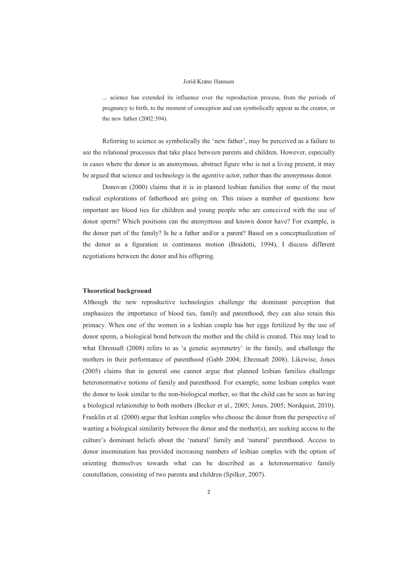... science has extended its influence over the reproduction process, from the periods of pregnancy to birth, to the moment of conception and can symbolically appear as the creator, or the new father (2002:394).

Referring to science as symbolically the 'new father', may be perceived as a failure to see the relational processes that take place between parents and children. However, especially in cases where the donor is an anonymous, abstract figure who is not a living present, it may be argued that science and technology is the agentive actor, rather than the anonymous donor.

Donovan (2000) claims that it is in planned lesbian families that some of the most radical explorations of fatherhood are going on. This raises a number of questions: how important are blood ties for children and young people who are conceived with the use of donor sperm? Which positions can the anonymous and known donor have? For example, is the donor part of the family? Is he a father and/or a parent? Based on a conceptualization of the donor as a figuration in continuous motion (Braidotti, 1994), I discuss different negotiations between the donor and his offspring.

#### **Theoretical background**

Although the new reproductive technologies challenge the dominant perception that emphasizes the importance of blood ties, family and parenthood, they can also retain this primacy. When one of the women in a lesbian couple has her eggs fertilized by the use of donor sperm, a biological bond between the mother and the child is created. This may lead to what Ehrensaft (2008) refers to as 'a genetic asymmetry' in the family, and challenge the mothers in their performance of parenthood (Gabb 2004; Ehrensaft 2008). Likewise, Jones (2005) claims that in general one cannot argue that planned lesbian families challenge heteronormative notions of family and parenthood. For example, some lesbian couples want the donor to look similar to the non-biological mother, so that the child can be seen as having a biological relationship to both mothers (Becker et al., 2005; Jones, 2005; Nordquist, 2010). Franklin et al. (2000) argue that lesbian couples who choose the donor from the perspective of wanting a biological similarity between the donor and the mother(s), are seeking access to the culture's dominant beliefs about the 'natural' family and 'natural' parenthood. Access to donor insemination has provided increasing numbers of lesbian couples with the option of orienting themselves towards what can be described as a heteronormative family constellation, consisting of two parents and children (Spilker, 2007).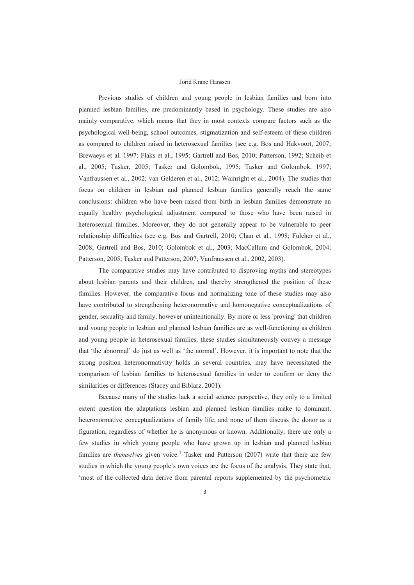Previous studies of children and young people in lesbian families and born into planned lesbian families, are predominantly based in psychology. These studies are also mainly comparative, which means that they in most contexts compare factors such as the psychological well-being, school outcomes, stigmatization and self-esteem of these children as compared to children raised in heterosexual families (see e.g. Bos and Hakvoort, 2007; Brewaeys et al. 1997; Flaks et al., 1995; Gartrell and Bos, 2010; Patterson, 1992; Scheib et al., 2005; Tasker, 2005; Tasker and Golombok, 1995; Tasker and Golombok, 1997; Vanfraussen et al., 2002; van Gelderen et al., 2012; Wainright et al., 2004). The studies that focus on children in lesbian and planned lesbian families generally reach the same conclusions: children who have been raised from birth in lesbian families demonstrate an equally healthy psychological adjustment compared to those who have been raised in heterosexual families. Moreover, they do not generally appear to be vulnerable to peer relationship difficulties (see e.g. Bos and Gartrell, 2010; Chan et al., 1998; Fulcher et al., 2008; Gartrell and Bos, 2010; Golombok et al., 2003; MacCallum and Golombok, 2004; Patterson, 2005; Tasker and Patterson, 2007; Vanfraussen et al., 2002, 2003).

The comparative studies may have contributed to disproving myths and stereotypes about lesbian parents and their children, and thereby strengthened the position of these families. However, the comparative focus and normalizing tone of these studies may also have contributed to strengthening heteronormative and homonegative conceptualizations of gender, sexuality and family, however unintentionally. By more or less 'proving' that children and young people in lesbian and planned lesbian families are as well-functioning as children and young people in heterosexual families, these studies simultaneously convey a message that 'the abnormal' do just as well as 'the normal'. However, it is important to note that the strong position heteronormativity holds in several countries, may have necessitated the comparison of lesbian families to heterosexual families in order to confirm or deny the similarities or differences (Stacey and Biblarz, 2001).

Because many of the studies lack a social science perspective, they only to a limited extent question the adaptations lesbian and planned lesbian families make to dominant, heteronormative conceptualizations of family life, and none of them discuss the donor as a figuration, regardless of whether he is anonymous or known. Additionally, there are only a few studies in which young people who have grown up in lesbian and planned lesbian families are *themselves* given voice.<sup>1</sup> Tasker and Patterson (2007) write that there are few studies in which the young people's own voices are the focus of the analysis. They state that, "most of the collected data derive from parental reports supplemented by the psychometric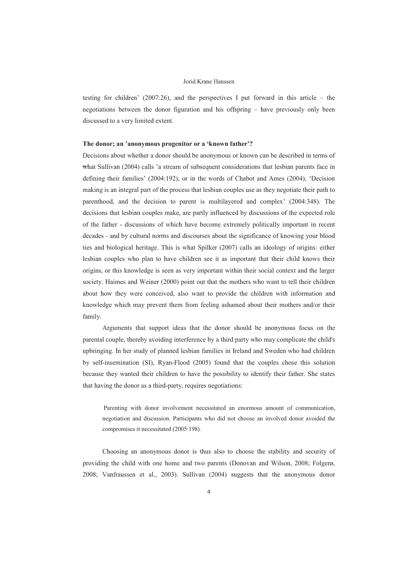testing for children' (2007:26), and the perspectives I put forward in this article – the negotiations between the donor figuration and his offspring – have previously only been discussed to a very limited extent.

#### The donor; an 'anonymous progenitor or a 'known father'?

Decisions about whether a donor should be anonymous or known can be described in terms of what Sullivan (2004) calls 'a stream of subsequent considerations that lesbian parents face in defining their families'  $(2004:192)$ , or in the words of Chabot and Ames  $(2004)$ , 'Decision making is an integral part of the process that lesbian couples use as they negotiate their path to parenthood, and the decision to parent is multilayered and complex' (2004:348). The decisions that lesbian couples make, are partly influenced by discussions of the expected role of the father - discussions of which have become extremely politically important in recent  $decades - and by cultural norms and discourse about the significance of knowing your blood$ ties and biological heritage. This is what Spilker (2007) calls an ideology of origins: either lesbian couples who plan to have children see it as important that their child knows their origins, or this knowledge is seen as very important within their social context and the larger society. Haimes and Weiner (2000) point out that the mothers who want to tell their children about how they were conceived, also want to provide the children with information and knowledge which may prevent them from feeling ashamed about their mothers and/or their family.

Arguments that support ideas that the donor should be anonymous focus on the parental couple, thereby avoiding interference by a third party who may complicate the child's upbringing. In her study of planned lesbian families in Ireland and Sweden who had children by self-insemination (SI), Ryan-Flood (2005) found that the couples chose this solution because they wanted their children to have the possibility to identify their father. She states that having the donor as a third-party, requires negotiations:

Parenting with donor involvement necessitated an enormous amount of communication, negotiation and discussion. Participants who did not choose an involved donor avoided the compromises it necessitated (2005:198).

Choosing an anonymous donor is thus also to choose the stability and security of providing the child with one home and two parents (Donovan and Wilson, 2008; Folgerø, 2008; Vanfraussen et al., 2003). Sullivan (2004) suggests that the anonymous donor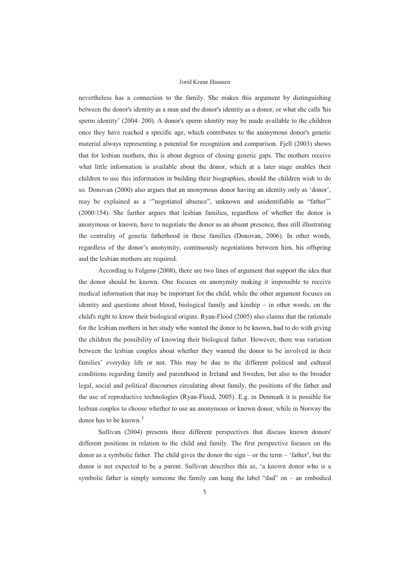nevertheless has a connection to the family. She makes this argument by distinguishing between the donor's identity as a man and the donor's identity as a donor, or what she calls 'his sperm identity' (2004: 200). A donor's sperm identity may be made available to the children once they have reached a specific age, which contributes to the anonymous donor's genetic material always representing a potential for recognition and comparison. Fiell (2003) shows that for lesbian mothers, this is about degrees of closing genetic gaps. The mothers receive what little information is available about the donor, which at a later stage enables their children to use this information in building their biographies, should the children wish to do so. Donovan (2000) also argues that an anonymous donor having an identity only as 'donor', may be explained as a "negotiated absence", unknown and unidentifiable as "father" (2000:154). She further argues that lesbian families, regardless of whether the donor is anonymous or known, have to negotiate the donor as an absent presence, thus still illustrating the centrality of genetic fatherhood in these families (Donovan, 2006). In other words, regardless of the donor's anonymity, continuously negotiations between him, his offspring and the lesbian mothers are required.

According to Folgerø (2008), there are two lines of argument that support the idea that the donor should be known. One focuses on anonymity making it impossible to receive medical information that may be important for the child, while the other argument focuses on identity and questions about blood, biological family and kinship  $-$  in other words, on the child's right to know their biological origins. Ryan-Flood (2005) also claims that the rationale for the lesbian mothers in her study who wanted the donor to be known, had to do with giving the children the possibility of knowing their biological father. However, there was variation between the lesbian couples about whether they wanted the donor to be involved in their families' everyday life or not. This may be due to the different political and cultural conditions regarding family and parenthood in Ireland and Sweden, but also to the broader legal, social and political discourses circulating about family, the positions of the father and the use of reproductive technologies (Ryan-Flood, 2005). E.g. in Denmark it is possible for lesbian couples to choose whether to use an anonymous or known donor, while in Norway the donor has to be known.<sup>2</sup>

Sullivan (2004) presents three different perspectives that discuss known donors' different positions in relation to the child and family. The first perspective focuses on the donor as a symbolic father. The child gives the donor the sign – or the term – 'father', but the donor is not expected to be a parent. Sullivan describes this as, 'a known donor who is a symbolic father is simply someone the family can hang the label "dad" on  $-$  an embodied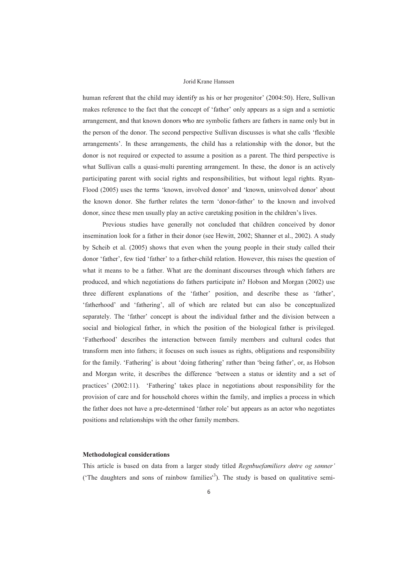human referent that the child may identify as his or her progenitor' (2004:50). Here, Sullivan makes reference to the fact that the concept of 'father' only appears as a sign and a semiotic arrangement, and that known donors who are symbolic fathers are fathers in name only but in the person of the donor. The second perspective Sullivan discusses is what she calls 'flexible arrangements'. In these arrangements, the child has a relationship with the donor, but the donor is not required or expected to assume a position as a parent. The third perspective is what Sullivan calls a quasi-multi parenting arrangement. In these, the donor is an actively participating parent with social rights and responsibilities, but without legal rights. Ryan-Flood (2005) uses the terms 'known, involved donor' and 'known, uninvolved donor' about the known donor. She further relates the term 'donor-father' to the known and involved donor, since these men usually play an active caretaking position in the children's lives.

Previous studies have generally not concluded that children conceived by donor insemination look for a father in their donor (see Hewitt, 2002; Shanner et al., 2002). A study by Scheib et al. (2005) shows that even when the young people in their study called their donor 'father', few tied 'father' to a father-child relation. However, this raises the question of what it means to be a father. What are the dominant discourses through which fathers are produced, and which negotiations do fathers participate in? Hobson and Morgan (2002) use three different explanations of the 'father' position, and describe these as 'father', 'fatherhood' and 'fathering', all of which are related but can also be conceptualized separately. The 'father' concept is about the individual father and the division between a social and biological father, in which the position of the biological father is privileged. 'Fatherhood' describes the interaction between family members and cultural codes that transform men into fathers; it focuses on such issues as rights, obligations and responsibility for the family. 'Fathering' is about 'doing fathering' rather than 'being father', or, as Hobson and Morgan write, it describes the difference 'between a status or identity and a set of practices' (2002:11). 'Fathering' takes place in negotiations about responsibility for the provision of care and for household chores within the family, and implies a process in which the father does not have a pre-determined 'father role' but appears as an actor who negotiates positions and relationships with the other family members.

# **Methodological considerations**

This article is based on data from a larger study titled Regnbuefamiliers døtre og sønner' ('The daughters and sons of rainbow families<sup>13</sup>). The study is based on qualitative semi-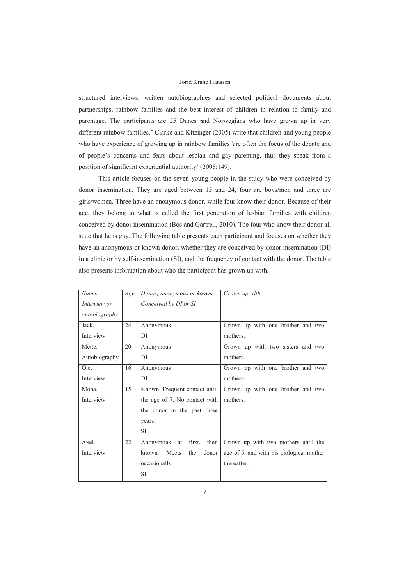structured interviews, written autobiographies and selected political documents about partnerships, rainbow families and the best interest of children in relation to family and parentage. The participants are 25 Danes and Norwegians who have grown up in very different rainbow families.<sup>4</sup> Clarke and Kitzinger (2005) write that children and young people who have experience of growing up in rainbow families 'are often the focus of the debate and of people's concerns and fears about lesbian and gay parenting, thus they speak from a position of significant experiential authority' (2005:149).

This article focuses on the seven young people in the study who were conceived by donor insemination. They are aged between 15 and 24, four are boys/men and three are girls/women. Three have an anonymous donor, while four know their donor. Because of their age, they belong to what is called the first generation of lesbian families with children conceived by donor insemination (Bos and Gartrell, 2010). The four who know their donor all state that he is gay. The following table presents each participant and focuses on whether they have an anonymous or known donor, whether they are conceived by donor insemination (DI) in a clinic or by self-insemination (SI), and the frequency of contact with the donor. The table also presents information about who the participant has grown up with.

| Name.         | Age | Donor; anonymous or known.        | Grown up with                            |
|---------------|-----|-----------------------------------|------------------------------------------|
| Interview or  |     | Conceived by DI or SI             |                                          |
| autobiography |     |                                   |                                          |
| Jack.         | 24  | Anonymous                         | Grown up with one brother and two        |
| Interview     |     | DI                                | mothers.                                 |
| Mette.        | 20  | Anonymous                         | Grown up with two sisters and two        |
| Autobiography |     | DI                                | mothers.                                 |
| Ole.          | 16  | Anonymous                         | Grown up with one brother and two        |
| Interview     |     | DI                                | mothers.                                 |
| Mona.         | 15  | Known. Frequent contact until     | Grown up with one brother and two        |
| Interview     |     | the age of 7. No contact with     | mothers.                                 |
|               |     | the donor in the past three       |                                          |
|               |     | years.                            |                                          |
|               |     | <b>SI</b>                         |                                          |
| Axel.         | 22  | first,<br>then<br>Anonymous<br>at | Grown up with two mothers until the      |
| Interview     |     | Meets<br>donor<br>known.<br>the   | age of 5, and with his biological mother |
|               |     | occasionally.                     | thereafter.                              |
|               |     | <b>SI</b>                         |                                          |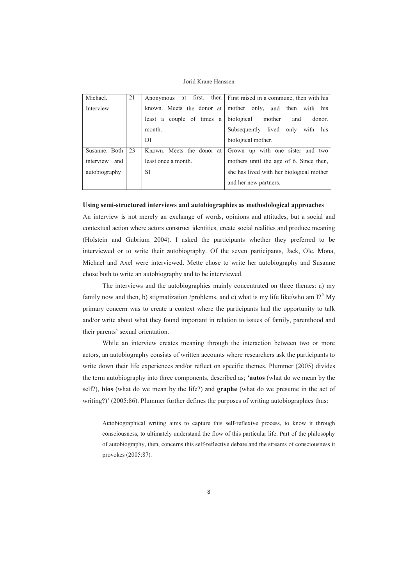| Michael.      | 21 |                                             | Anonymous at first, then First raised in a commune, then with his |
|---------------|----|---------------------------------------------|-------------------------------------------------------------------|
| Interview     |    |                                             | known. Meets the donor at mother only, and then with his          |
|               |    | least a couple of times a biological mother | donor.<br>and                                                     |
|               |    | month.                                      | Subsequently lived only with his                                  |
|               |    | DI                                          | biological mother.                                                |
| Susanne. Both | 23 |                                             | Known. Meets the donor at Grown up with one sister and two        |
| interview and |    | least once a month.                         | mothers until the age of 6. Since then,                           |
| autobiography |    | <b>SI</b>                                   | she has lived with her biological mother                          |
|               |    |                                             | and her new partners.                                             |

#### Using semi-structured interviews and autobiographies as methodological approaches

An interview is not merely an exchange of words, opinions and attitudes, but a social and contextual action where actors construct identities, create social realities and produce meaning (Holstein and Gubrium 2004). I asked the participants whether they preferred to be interviewed or to write their autobiography. Of the seven participants, Jack, Ole, Mona, Michael and Axel were interviewed. Mette chose to write her autobiography and Susanne chose both to write an autobiography and to be interviewed.

The interviews and the autobiographies mainly concentrated on three themes: a) my family now and then, b) stigmatization /problems, and c) what is my life like/who am  $I$ <sup>5</sup> My primary concern was to create a context where the participants had the opportunity to talk and/or write about what they found important in relation to issues of family, parenthood and their parents' sexual orientation.

While an interview creates meaning through the interaction between two or more actors, an autobiography consists of written accounts where researchers ask the participants to write down their life experiences and/or reflect on specific themes. Plummer (2005) divides the term autobiography into three components, described as; 'autos (what do we mean by the self?), bios (what do we mean by the life?) and graphe (what do we presume in the act of writing?)' (2005:86). Plummer further defines the purposes of writing autobiographies thus:

Autobiographical writing aims to capture this self-reflexive process, to know it through consciousness, to ultimately understand the flow of this particular life. Part of the philosophy of autobiography, then, concerns this self-reflective debate and the streams of consciousness it provokes (2005:87).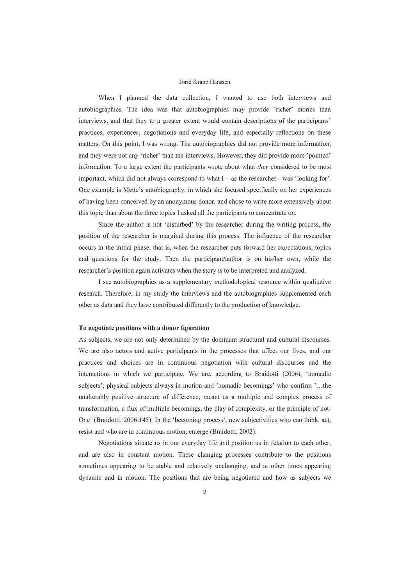When I planned the data collection, I wanted to use both interviews and autobiographies. The idea was that autobiographies may provide 'richer' stories than interviews, and that they to a greater extent would contain descriptions of the participants' practices, experiences, negotiations and everyday life, and especially reflections on these matters. On this point, I was wrong. The autobiographies did not provide more information, and they were not any 'richer' than the interviews. However, they did provide more 'pointed' information. To a large extent the participants wrote about what *they* considered to be most important, which did not always correspond to what  $I -$  as the researcher - was 'looking for'. One example is Mette's autobiography, in which she focused specifically on her experiences of having been conceived by an anonymous donor, and chose to write more extensively about this topic than about the three topics I asked all the participants to concentrate on.

Since the author is not 'disturbed' by the researcher during the writing process, the position of the researcher is marginal during this process. The influence of the researcher occurs in the initial phase, that is, when the researcher puts forward her expectations, topics and questions for the study. Then the participant/author is on his/her own, while the researcher's position again activates when the story is to be interpreted and analyzed.

I see autobiographies as a supplementary methodological resource within qualitative research. Therefore, in my study the interviews and the autobiographies supplemented each other as data and they have contributed differently to the production of knowledge.

#### To negotiate positions with a donor figuration

As subjects, we are not only determined by the dominant structural and cultural discourses. We are also actors and active participants in the processes that affect our lives, and our practices and choices are in continuous negotiation with cultural discourses and the interactions in which we participate. We are, according to Braidotti (2006), 'nomadic subjects'; physical subjects always in motion and 'nomadic becomings' who confirm '...the unalterably positive structure of difference, meant as a multiple and complex process of transformation, a flux of multiple becomings, the play of complexity, or the principle of not-One' (Braidotti, 2006:145). In the 'becoming process', new subjectivities who can think, act, resist and who are in continuous motion, emerge (Braidotti, 2002).

Negotiations situate us in our everyday life and position us in relation to each other, and are also in constant motion. These changing processes contribute to the positions sometimes appearing to be stable and relatively unchanging, and at other times appearing dynamic and in motion. The positions that are being negotiated and how as subjects we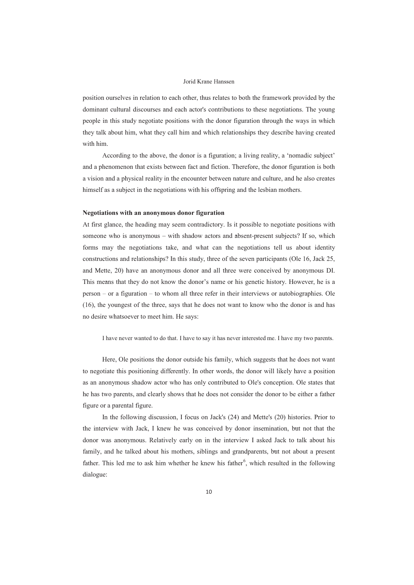position ourselves in relation to each other, thus relates to both the framework provided by the dominant cultural discourses and each actor's contributions to these negotiations. The young people in this study negotiate positions with the donor figuration through the ways in which they talk about him, what they call him and which relationships they describe having created with him.

According to the above, the donor is a figuration; a living reality, a 'nomadic subject' and a phenomenon that exists between fact and fiction. Therefore, the donor figuration is both a vision and a physical reality in the encounter between nature and culture, and he also creates himself as a subject in the negotiations with his offspring and the lesbian mothers.

#### Negotiations with an anonymous donor figuration

At first glance, the heading may seem contradictory. Is it possible to negotiate positions with someone who is anonymous – with shadow actors and absent-present subjects? If so, which forms may the negotiations take, and what can the negotiations tell us about identity constructions and relationships? In this study, three of the seven participants (Ole 16, Jack 25, and Mette, 20) have an anonymous donor and all three were conceived by anonymous DI. This means that they do not know the donor's name or his genetic history. However, he is a person – or a figuration – to whom all three refer in their interviews or autobiographies. Ole (16), the youngest of the three, says that he does not want to know who the donor is and has no desire whatsoever to meet him. He says:

I have never wanted to do that. I have to say it has never interested me. I have my two parents.

Here, Ole positions the donor outside his family, which suggests that he does not want to negotiate this positioning differently. In other words, the donor will likely have a position as an anonymous shadow actor who has only contributed to Ole's conception. Ole states that he has two parents, and clearly shows that he does not consider the donor to be either a father figure or a parental figure.

In the following discussion, I focus on Jack's (24) and Mette's (20) histories. Prior to the interview with Jack, I knew he was conceived by donor insemination, but not that the donor was anonymous. Relatively early on in the interview I asked Jack to talk about his family, and he talked about his mothers, siblings and grandparents, but not about a present father. This led me to ask him whether he knew his father<sup>6</sup>, which resulted in the following dialogue: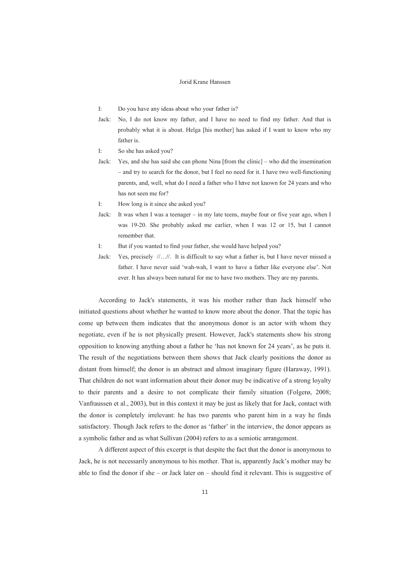- I: Do you have any ideas about who your father is?
- Jack: No. I do not know my father, and I have no need to find my father. And that is probably what it is about. Helga [his mother] has asked if I want to know who my father is.
- I: So she has asked you?
- Jack: Yes, and she has said she can phone Nina [from the clinic] who did the insemination  $-$  and try to search for the donor, but I feel no need for it. I have two well-functioning parents, and, well, what do I need a father who I have not known for 24 years and who has not seen me for?
- $\mathbf{I}:$  How long is it since she asked you?
- Jack: It was when I was a teenager  $-$  in my late teens, maybe four or five year ago, when I was 19-20. She probably asked me earlier, when I was 12 or 15, but I cannot remember that.
- I: But if you wanted to find your father, she would have helped you?
- Jack: Yes, precisely //...//. It is difficult to say what a father is, but I have never missed a father. I have never said 'wah-wah, I want to have a father like everyone else'. Not ever. It has always been natural for me to have two mothers. They are my parents.

According to Jack's statements, it was his mother rather than Jack himself who initiated questions about whether he wanted to know more about the donor. That the topic has come up between them indicates that the anonymous donor is an actor with whom they negotiate, even if he is not physically present. However, Jack's statements show his strong opposition to knowing anything about a father he 'has not known for 24 years', as he puts it. The result of the negotiations between them shows that Jack clearly positions the donor as distant from himself; the donor is an abstract and almost imaginary figure (Haraway, 1991). That children do not want information about their donor may be indicative of a strong loyalty to their parents and a desire to not complicate their family situation (Folgerø, 2008; Vanfraussen et al., 2003), but in this context it may be just as likely that for Jack, contact with the donor is completely irrelevant: he has two parents who parent him in a way he finds satisfactory. Though Jack refers to the donor as 'father' in the interview, the donor appears as a symbolic father and as what Sullivan (2004) refers to as a semiotic arrangement.

A different aspect of this excerpt is that despite the fact that the donor is anonymous to Jack, he is not necessarily anonymous to his mother. That is, apparently Jack's mother may be able to find the donor if she – or Jack later on – should find it relevant. This is suggestive of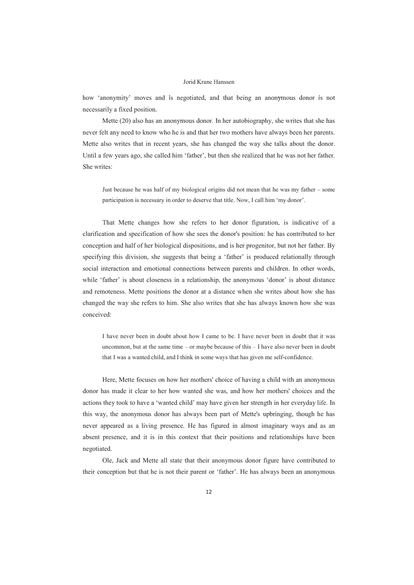how 'anonymity' moves and is negotiated, and that being an anonymous donor is not necessarily a fixed position.

Mette  $(20)$  also has an anonymous donor. In her autobiography, she writes that she has never felt any need to know who he is and that her two mothers have always been her parents. Mette also writes that in recent years, she has changed the way she talks about the donor. Until a few years ago, she called him 'father', but then she realized that he was not her father. She writes:

Just because he was half of my biological origins did not mean that he was my father - some participation is necessary in order to deserve that title. Now, I call him 'my donor'.

That Mette changes how she refers to her donor figuration, is indicative of a clarification and specification of how she sees the donor's position: he has contributed to her conception and half of her biological dispositions, and is her progenitor, but not her father. By specifying this division, she suggests that being a 'father' is produced relationally through social interaction and emotional connections between parents and children. In other words, while 'father' is about closeness in a relationship, the anonymous 'donor' is about distance and remoteness. Mette positions the donor at a distance when she writes about how she has changed the way she refers to him. She also writes that she has always known how she was conceived:

I have never been in doubt about how I came to be. I have never been in doubt that it was uncommon, but at the same time – or maybe because of this  $-1$  have also never been in doubt that I was a wanted child, and I think in some ways that has given me self-confidence.

Here, Mette focuses on how her mothers' choice of having a child with an anonymous donor has made it clear to her how wanted she was, and how her mothers' choices and the actions they took to have a 'wanted child' may have given her strength in her everyday life. In this way, the anonymous donor has always been part of Mette's upbringing, though he has never appeared as a living presence. He has figured in almost imaginary ways and as an absent presence, and it is in this context that their positions and relationships have been negotiated.

Ole, Jack and Mette all state that their anonymous donor figure have contributed to their conception but that he is not their parent or 'father'. He has always been an anonymous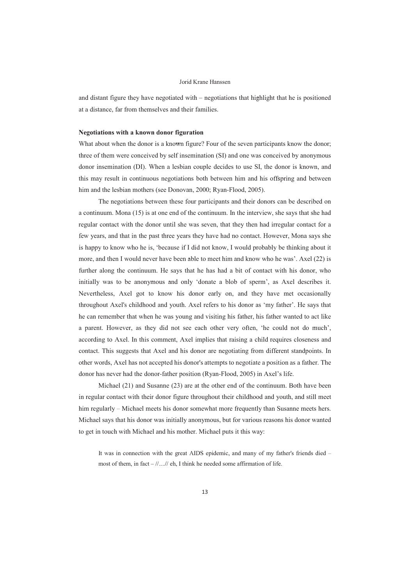and distant figure they have negotiated with  $-$  negotiations that highlight that he is positioned at a distance, far from themselves and their families.

# Negotiations with a known donor figuration

What about when the donor is a known figure? Four of the seven participants know the donor; three of them were conceived by self insemination (SI) and one was conceived by anonymous donor insemination (DI). When a lesbian couple decides to use SI, the donor is known, and this may result in continuous negotiations both between him and his offspring and between him and the lesbian mothers (see Donovan, 2000; Ryan-Flood, 2005).

The negotiations between these four participants and their donors can be described on a continuum. Mona (15) is at one end of the continuum. In the interview, she says that she had regular contact with the donor until she was seven, that they then had irregular contact for a few years, and that in the past three years they have had no contact. However, Mona says she is happy to know who he is, 'because if I did not know, I would probably be thinking about it more, and then I would never have been able to meet him and know who he was'. Axel (22) is further along the continuum. He says that he has had a bit of contact with his donor, who initially was to be anonymous and only 'donate a blob of sperm', as Axel describes it. Nevertheless, Axel got to know his donor early on, and they have met occasionally throughout Axel's childhood and youth. Axel refers to his donor as 'my father'. He says that he can remember that when he was young and visiting his father, his father wanted to act like a parent. However, as they did not see each other very often, 'he could not do much', according to Axel. In this comment, Axel implies that raising a child requires closeness and contact. This suggests that Axel and his donor are negotiating from different standpoints. In other words, Axel has not accepted his donor's attempts to negotiate a position as a father. The donor has never had the donor-father position (Ryan-Flood, 2005) in Axel's life.

Michael (21) and Susanne (23) are at the other end of the continuum. Both have been in regular contact with their donor figure throughout their childhood and youth, and still meet him regularly – Michael meets his donor somewhat more frequently than Susanne meets hers. Michael says that his donor was initially anonymous, but for various reasons his donor wanted to get in touch with Michael and his mother. Michael puts it this way:

It was in connection with the great AIDS epidemic, and many of my father's friends died – most of them, in fact  $-$  //...// eh, I think he needed some affirmation of life.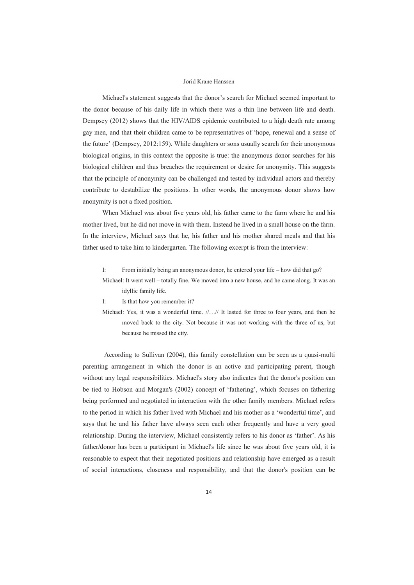Michael's statement suggests that the donor's search for Michael seemed important to the donor because of his daily life in which there was a thin line between life and death. Dempsey (2012) shows that the HIV/AIDS epidemic contributed to a high death rate among gay men, and that their children came to be representatives of 'hope, renewal and a sense of the future' (Dempsey, 2012:159). While daughters or sons usually search for their anonymous biological origins, in this context the opposite is true: the anonymous donor searches for his biological children and thus breaches the requirement or desire for anonymity. This suggests that the principle of anonymity can be challenged and tested by individual actors and thereby contribute to destabilize the positions. In other words, the anonymous donor shows how anonymity is not a fixed position.

When Michael was about five years old, his father came to the farm where he and his mother lived, but he did not move in with them. Instead he lived in a small house on the farm. In the interview, Michael says that he, his father and his mother shared meals and that his father used to take him to kindergarten. The following excerpt is from the interview:

- $\mathbf{I}$ From initially being an anonymous donor, he entered your life – how did that go?
- Michael: It went well totally fine. We moved into a new house, and he came along. It was an idyllic family life.
- $\mathbf{E}$ Is that how you remember it?
- Michael: Yes, it was a wonderful time.  $\frac{1}{1}$ ... It lasted for three to four vears, and then he moved back to the city. Not because it was not working with the three of us, but because he missed the city.

According to Sullivan (2004), this family constellation can be seen as a quasi-multi parenting arrangement in which the donor is an active and participating parent, though without any legal responsibilities. Michael's story also indicates that the donor's position can be tied to Hobson and Morgan's (2002) concept of 'fathering', which focuses on fathering being performed and negotiated in interaction with the other family members. Michael refers to the period in which his father lived with Michael and his mother as a 'wonderful time', and says that he and his father have always seen each other frequently and have a very good relationship. During the interview, Michael consistently refers to his donor as 'father'. As his father/donor has been a participant in Michael's life since he was about five years old, it is reasonable to expect that their negotiated positions and relationship have emerged as a result of social interactions, closeness and responsibility, and that the donor's position can be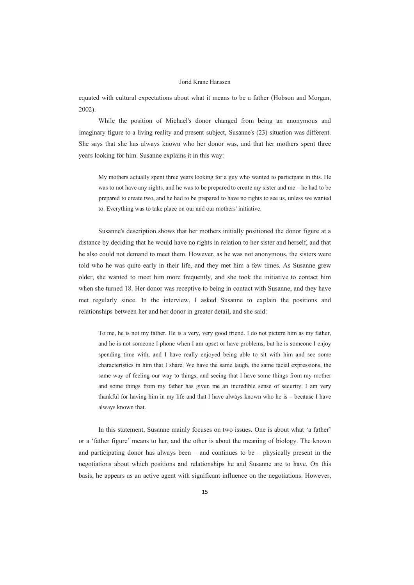equated with cultural expectations about what it means to be a father (Hobson and Morgan, 2002).

While the position of Michael's donor changed from being an anonymous and imaginary figure to a living reality and present subject, Susanne's (23) situation was different. She says that she has always known who her donor was, and that her mothers spent three years looking for him. Susanne explains it in this way:

My mothers actually spent three years looking for a guy who wanted to participate in this. He was to not have any rights, and he was to be prepared to create my sister and me  $-$  he had to be prepared to create two, and he had to be prepared to have no rights to see us, unless we wanted to. Everything was to take place on our and our mothers' initiative.

Susanne's description shows that her mothers initially positioned the donor figure at a distance by deciding that he would have no rights in relation to her sister and herself, and that he also could not demand to meet them. However, as he was not anonymous, the sisters were told who he was quite early in their life, and they met him a few times. As Susanne grew older, she wanted to meet him more frequently, and she took the initiative to contact him when she turned 18. Her donor was receptive to being in contact with Susanne, and they have met regularly since. In the interview, I asked Susanne to explain the positions and relationships between her and her donor in greater detail, and she said:

To me, he is not my father. He is a very, very good friend. I do not picture him as my father, and he is not someone I phone when I am upset or have problems, but he is someone I enjoy spending time with, and I have really enjoyed being able to sit with him and see some characteristics in him that I share. We have the same laugh, the same facial expressions, the same way of feeling our way to things, and seeing that I have some things from my mother and some things from my father has given me an incredible sense of security. I am very thankful for having him in my life and that I have always known who he is - because I have always known that.

In this statement, Susanne mainly focuses on two issues. One is about what 'a father' or a 'father figure' means to her, and the other is about the meaning of biology. The known and participating donor has always been  $-$  and continues to be  $-$  physically present in the negotiations about which positions and relationships he and Susanne are to have. On this basis, he appears as an active agent with significant influence on the negotiations. However,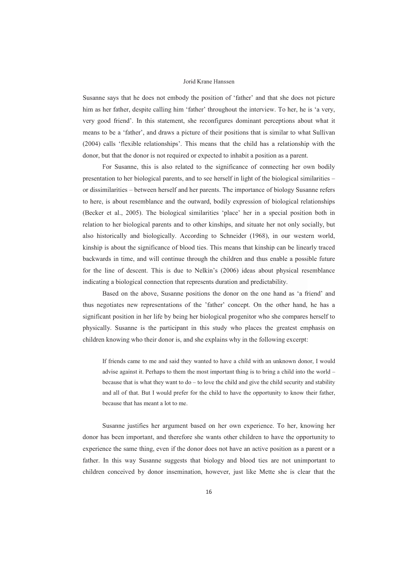Susanne says that he does not embody the position of 'father' and that she does not picture him as her father, despite calling him 'father' throughout the interview. To her, he is 'a very, very good friend'. In this statement, she reconfigures dominant perceptions about what it means to be a 'father', and draws a picture of their positions that is similar to what Sullivan (2004) calls 'flexible relationships'. This means that the child has a relationship with the donor, but that the donor is not required or expected to inhabit a position as a parent.

For Susanne, this is also related to the significance of connecting her own bodily presentation to her biological parents, and to see herself in light of the biological similarities – or dissimilarities – between herself and her parents. The importance of biology Susanne refers to here, is about resemblance and the outward, bodily expression of biological relationships (Becker et al., 2005). The biological similarities 'place' her in a special position both in relation to her biological parents and to other kinships, and situate her not only socially, but also historically and biologically. According to Schneider (1968), in our western world, kinship is about the significance of blood ties. This means that kinship can be linearly traced backwards in time, and will continue through the children and thus enable a possible future for the line of descent. This is due to Nelkin's  $(2006)$  ideas about physical resemblance indicating a biological connection that represents duration and predictability.

Based on the above, Susanne positions the donor on the one hand as 'a friend' and thus negotiates new representations of the 'father' concept. On the other hand, he has a significant position in her life by being her biological progenitor who she compares herself to physically. Susanne is the participant in this study who places the greatest emphasis on children knowing who their donor is, and she explains why in the following excerpt:

If friends came to me and said they wanted to have a child with an unknown donor. I would advise against it. Perhaps to them the most important thing is to bring a child into the world – because that is what they want to do – to love the child and give the child security and stability and all of that. But I would prefer for the child to have the opportunity to know their father, because that has meant a lot to me.

Susanne justifies her argument based on her own experience. To her, knowing her donor has been important, and therefore she wants other children to have the opportunity to experience the same thing, even if the donor does not have an active position as a parent or a father. In this way Susanne suggests that biology and blood ties are not unimportant to children conceived by donor insemination, however, just like Mette she is clear that the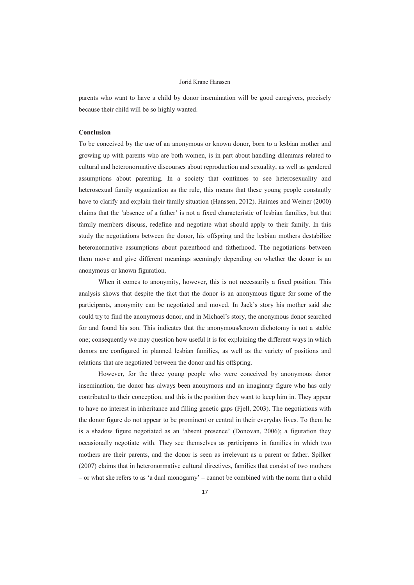parents who want to have a child by donor insemination will be good caregivers, precisely because their child will be so highly wanted.

#### **Conclusion**

To be conceived by the use of an anonymous or known donor, born to a lesbian mother and growing up with parents who are both women, is in part about handling dilemmas related to cultural and heteronormative discourses about reproduction and sexuality, as well as gendered assumptions about parenting. In a society that continues to see heterosexuality and heterosexual family organization as the rule, this means that these young people constantly have to clarify and explain their family situation (Hanssen, 2012). Haimes and Weiner (2000) claims that the 'absence of a father' is not a fixed characteristic of lesbian families, but that family members discuss, redefine and negotiate what should apply to their family. In this study the negotiations between the donor, his offspring and the lesbian mothers destabilize heteronormative assumptions about parenthood and fatherhood. The negotiations between them move and give different meanings seemingly depending on whether the donor is an anonymous or known figuration.

When it comes to anonymity, however, this is not necessarily a fixed position. This analysis shows that despite the fact that the donor is an anonymous figure for some of the participants, anonymity can be negotiated and moved. In Jack's story his mother said she could try to find the anonymous donor, and in Michael's story, the anonymous donor searched for and found his son. This indicates that the anonymous/known dichotomy is not a stable one; consequently we may question how useful it is for explaining the different ways in which donors are configured in planned lesbian families, as well as the variety of positions and relations that are negotiated between the donor and his offspring.

However, for the three young people who were conceived by anonymous donor insemination, the donor has always been anonymous and an imaginary figure who has only contributed to their conception, and this is the position they want to keep him in. They appear to have no interest in inheritance and filling genetic gaps (Fiell, 2003). The negotiations with the donor figure do not appear to be prominent or central in their everyday lives. To them he is a shadow figure negotiated as an 'absent presence' (Donovan, 2006); a figuration they occasionally negotiate with. They see themselves as participants in families in which two mothers are their parents, and the donor is seen as irrelevant as a parent or father. Spilker (2007) claims that in heteronormative cultural directives, families that consist of two mothers - or what she refers to as 'a dual monogamy' - cannot be combined with the norm that a child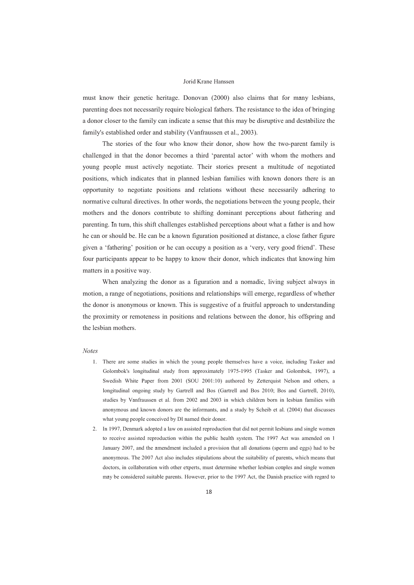must know their genetic heritage. Donovan (2000) also claims that for many lesbians, parenting does not necessarily require biological fathers. The resistance to the idea of bringing a donor closer to the family can indicate a sense that this may be disruptive and destabilize the family's established order and stability (Vanfraussen et al., 2003).

The stories of the four who know their donor, show how the two-parent family is challenged in that the donor becomes a third 'parental actor' with whom the mothers and young people must actively negotiate. Their stories present a multitude of negotiated positions, which indicates that in planned lesbian families with known donors there is an opportunity to negotiate positions and relations without these necessarily adhering to normative cultural directives. In other words, the negotiations between the young people, their mothers and the donors contribute to shifting dominant perceptions about fathering and parenting. In turn, this shift challenges established perceptions about what a father is and how he can or should be. He can be a known figuration positioned at distance, a close father figure given a 'fathering' position or he can occupy a position as a 'very, very good friend'. These four participants appear to be happy to know their donor, which indicates that knowing him matters in a positive way.

When analyzing the donor as a figuration and a nomadic, living subject always in motion, a range of negotiations, positions and relationships will emerge, regardless of whether the donor is anonymous or known. This is suggestive of a fruitful approach to understanding the proximity or remoteness in positions and relations between the donor, his offspring and the lesbian mothers.

#### *-*

- 1. There are some studies in which the young people themselves have a voice, including Tasker and Golombok's longitudinal study from approximately 1975-1995 (Tasker and Golombok, 1997), a Swedish White Paper from 2001 (SOU 2001:10) authored by Zetterquist Nelson and others, a longitudinal ongoing study by Gartrell and Bos (Gartrell and Bos 2010; Bos and Gartrell, 2010). studies by Vanfraussen et al. from 2002 and 2003 in which children born in lesbian families with anonymous and known donors are the informants, and a study by Scheib et al.  $(2004)$  that discusses what young people conceived by DI named their donor.
- 2. In 1997, Denmark adopted a law on assisted reproduction that did not permit lesbians and single women to receive assisted reproduction within the public health system. The 1997 Act was amended on  $1$ January 2007, and the amendment included a provision that all donations (sperm and eggs) had to be anonymous. The 2007 Act also includes stipulations about the suitability of parents, which means that doctors, in collaboration with other experts, must determine whether lesbian couples and single women may be considered suitable parents. However, prior to the 1997 Act, the Danish practice with regard to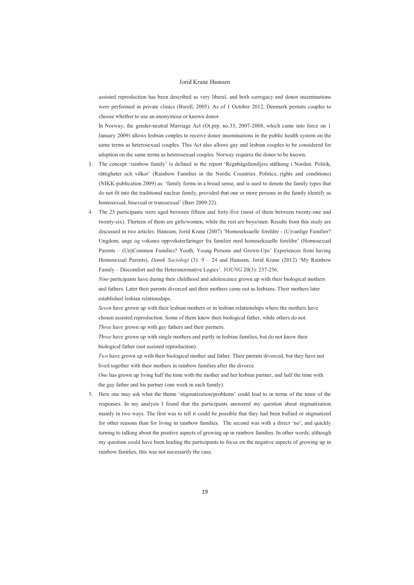assisted reproduction has been described as very liberal, and both surrogacy and donor inseminations were performed in private clinics (Burell, 2005). As of 1 October 2012, Denmark permits couples to choose whether to use an anonymous or known donor.

In Norway, the gender-neutral Marriage Act (Ot.prp. no.33, 2007-2008, which came into force on 1 January 2009) allows lesbian couples to receive donor inseminations in the public health system on the same terms as heterosexual couples. This Act also allows gay and lesbian couples to be considered for adoption on the same terms as heterosexual couples. Norway requires the donor to be known.

- 3. The concept 'rainbow family' is defined in the report 'Regnbågsfamiliers ställning i Norden. Politik, rättigheter och vilkor' (Rainbow Families in the Nordic Countries, Politics, rights and conditions) (NIKK-publication 2009) as: 'family forms in a broad sense, and is used to denote the family types that do not fit into the traditional nuclear family, provided that one or more persons in the family identify as homosexual, bisexual or transsexual' (Barr 2009:22).
- The 25 participants were aged between fifteen and forty-five (most of them between twenty-one and twenty-six). Thirteen of them are girls/women, while the rest are boys/men. Results from this study are discussed in two articles: Hanssen, Jorid Krane (2007) 'Homoseksuelle foreldre - (U)vanlige Familier? Ungdom, unge og voksnes oppveksterfaringer fra familier med homoseksuelle foreldre' (Homosexual Parents - (Un)Common Families? Youth, Young Persons and Grown-Ups' Experiences from having Homosexual Parents), Dansk Sociologi (3):  $9 - 24$  and Hanssen, Jorid Krane (2012) 'My Rainbow Family – Discomfort and the Heteronormative Logics'. *YOUNG* 20(3): 237-256.

Nine participants have during their childhood and adolescence grown up with their biological mothers and fathers. Later their parents divorced and their mothers came out as lesbians. Their mothers later established lesbian relationships.

Seven have grown up with their lesbian mothers or in lesbian relationships where the mothers have chosen assisted reproduction. Some of them know their biological father, while others do not.

Three have grown up with gay fathers and their partners.

Three have grown up with single mothers and partly in lesbian families, but do not know their biological father (not assisted reproduction).

Two have grown up with their biological mother and father. Their parents divorced, but they have not lived together with their mothers in rainbow families after the divorce.

One has grown up living half the time with the mother and her lesbian partner, and half the time with the gay father and his partner (one week in each family).

5. Here one may ask what the theme 'stigmatization/problems' could lead to in terms of the tenor of the responses. In my analysis I found that the participants answered my question about stigmatization mainly in two ways. The first was to tell it could be possible that they had been bullied or stigmatized for other reasons than for living in rainbow families. The second was with a direct 'no', and quickly turning to talking about the positive aspects of growing up in rainbow families. In other words; although my question could have been leading the participants to focus on the negative aspects of growing up in rainbow families, this was not necessarily the case.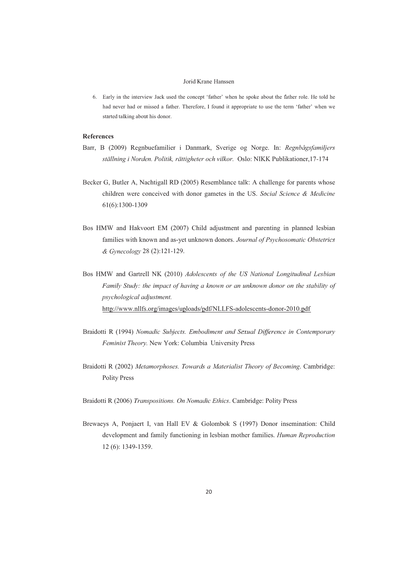6. Early in the interview Jack used the concept 'father' when he spoke about the father role. He told he had never had or missed a father. Therefore, I found it appropriate to use the term 'father' when we started talking about his donor.

## **References**

- Barr, B (2009) Regnbuefamilier i Danmark, Sverige og Norge. In: Regnbågsfamiljers ställning i Norden. Politik, rättigheter och vilkor. Oslo: NIKK Publikationer,17-174
- Becker G, Butler A, Nachtigall RD (2005) Resemblance talk: A challenge for parents whose children were conceived with donor gametes in the US. Social Science & Medicine 61(6):1300-1309
- Bos HMW and Hakvoort EM (2007) Child adjustment and parenting in planned lesbian families with known and as-yet unknown donors. Journal of Psychosomatic Obstetrics & Gynecology 28 (2):121-129.
- Bos HMW and Gartrell NK (2010) Adolescents of the US National Longitudinal Lesbian Family Study: the impact of having a known or an unknown donor on the stability of psychological adjustment. http://www.nllfs.org/images/uploads/pdf/NLLFS-adolescents-donor-2010.pdf
- Braidotti R (1994) Nomadic Subiects. Embodiment and Sexual Difference in Contemporary Feminist Theory. New York: Columbia University Press
- Braidotti R (2002) Metamorphoses. Towards a Materialist Theory of Becoming. Cambridge: **Polity Press**
- Braidotti R (2006) Transpositions. On Nomadic Ethics. Cambridge: Polity Press
- Brewaeys A, Ponjaert I, van Hall EV & Golombok S (1997) Donor insemination: Child development and family functioning in lesbian mother families. Human Reproduction 12 (6): 1349-1359.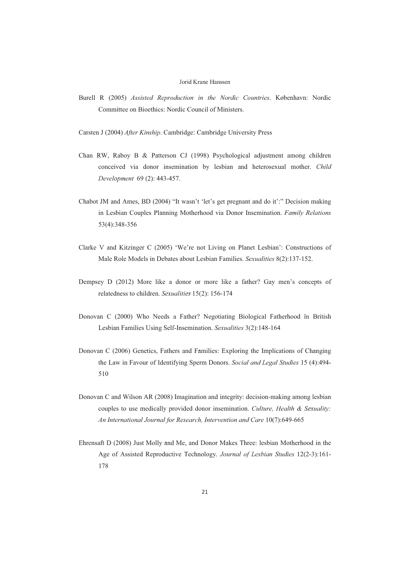- Burell R (2005) *Assisted Reproduction in the Nordic Countries*. København: Nordic Committee on Bioethics: Nordic Council of Ministers.
- Carsten J (2004) After Kinship. Cambridge: Cambridge University Press
- Chan RW, Raboy B & Patterson CJ (1998) Psychological adjustment among children conceived via donor insemination by lesbian and heterosexual mother. Child *Development* 69 (2): 443-457.
- Chabot JM and Ames, BD (2004) "It wasn't 'let's get pregnant and do it':" Decision making in Lesbian Couples Planning Motherhood via Donor Insemination. Family Relations 53(4):348-356
- Clarke V and Kitzinger C (2005) 'We're not Living on Planet Lesbian': Constructions of Male Role Models in Debates about Lesbian Families. Sexualities 8(2):137-152.
- Dempsey D (2012) More like a donor or more like a father? Gay men's concepts of relatedness to children. Sexualities 15(2): 156-174
- Donovan C (2000) Who Needs a Father? Negotiating Biological Fatherhood in British Lesbian Families Using Self-Insemination. Sexualities 3(2):148-164
- Donovan C (2006) Genetics, Fathers and Families: Exploring the Implications of Changing the Law in Favour of Identifying Sperm Donors. Social and Legal Studies 15 (4):494-510
- Donovan C and Wilson AR (2008) Imagination and integrity: decision-making among lesbian couples to use medically provided donor insemination. Culture, Health & Sexuality: *An International Journal for Research, Intervention and Care 10(7):649-665*
- Ehrensaft D (2008) Just Molly and Me, and Donor Makes Three: lesbian Motherhood in the Age of Assisted Reproductive Technology. Journal of Lesbian Studies 12(2-3):161-178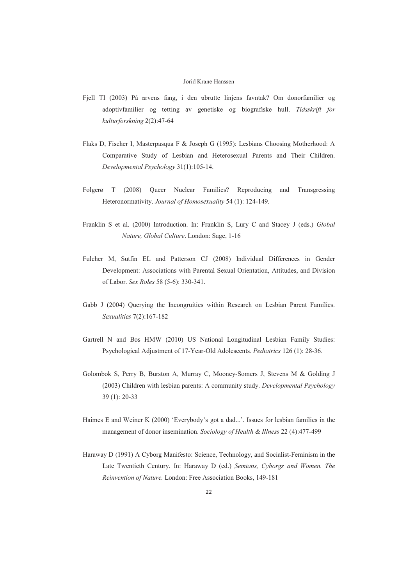- Fjell TI (2003) På arvens fang, i den ubrutte linjens favntak? Om donorfamilier og adoptivfamilier og tetting av genetiske og biografiske hull. Tidsskrift for kulturforskning 2(2):47-64
- Flaks D, Fischer I, Masterpasqua F & Joseph G (1995): Lesbians Choosing Motherhood: A Comparative Study of Lesbian and Heterosexual Parents and Their Children. Developmental Psychology 31(1):105-14.
- Folgerø T (2008) Queer Nuclear Families? Reproducing and Transgressing Heteronormativity. Journal of Homosexuality 54 (1): 124-149.
- Franklin S et al. (2000) Introduction. In: Franklin S, Lury C and Stacey J (eds.) Global Nature, Global Culture. London: Sage, 1-16
- Fulcher M, Sutfin EL and Patterson CJ (2008) Individual Differences in Gender Development: Associations with Parental Sexual Orientation, Attitudes, and Division of Labor. Sex Roles 58 (5-6): 330-341.
- Gabb J (2004) Querying the Incongruities within Research on Lesbian Parent Families. Sexualities 7(2):167-182
- Gartrell N and Bos HMW (2010) US National Longitudinal Lesbian Family Studies: Psychological Adjustment of 17-Year-Old Adolescents. Pediatrics 126 (1): 28-36.
- Golombok S, Perry B, Burston A, Murray C, Mooney-Somers J, Stevens M & Golding J (2003) Children with lesbian parents: A community study. Developmental Psychology 39 (1): 20-33
- Haimes E and Weiner K (2000) 'Everybody's got a dad...'. Issues for lesbian families in the management of donor insemination. Sociology of Health & Illness 22 (4):477-499
- Haraway D (1991) A Cyborg Manifesto: Science, Technology, and Socialist-Feminism in the Late Twentieth Century. In: Haraway D (ed.) Semians, Cyborgs and Women. The Reinvention of Nature. London: Free Association Books, 149-181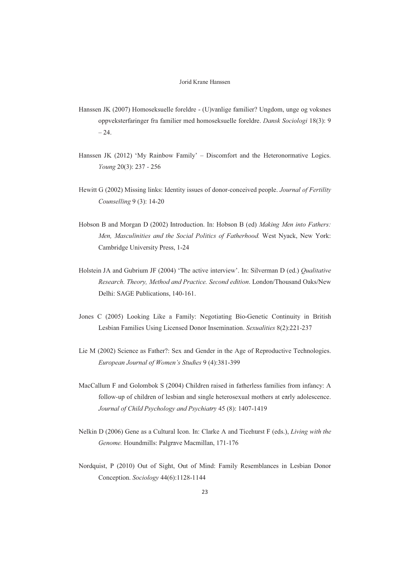- Hanssen JK (2007) Homoseksuelle foreldre (U)vanlige familier? Ungdom, unge og voksnes oppveksterfaringer fra familier med homoseksuelle foreldre. Dansk Sociologi 18(3): 9  $-24.$
- Hanssen JK (2012) 'My Rainbow Family' Discomfort and the Heteronormative Logics. Young 20(3): 237 - 256
- Hewitt G (2002) Missing links: Identity issues of donor-conceived people. Journal of Fertility Counselling 9 (3): 14-20
- Hobson B and Morgan D (2002) Introduction. In: Hobson B (ed) Making Men into Fathers: Men, Masculinities and the Social Politics of Fatherhood. West Nyack, New York: Cambridge University Press, 1-24
- Holstein JA and Gubrium JF (2004) 'The active interview'. In: Silverman D (ed.) Qualitative Research. Theory, Method and Practice. Second edition. London/Thousand Oaks/New Delhi: SAGE Publications, 140-161.
- Jones C (2005) Looking Like a Family: Negotiating Bio-Genetic Continuity in British Lesbian Families Using Licensed Donor Insemination. Sexualities 8(2):221-237
- Lie M (2002) Science as Father?: Sex and Gender in the Age of Reproductive Technologies. European Journal of Women's Studies 9 (4):381-399
- MacCallum F and Golombok S (2004) Children raised in fatherless families from infancy: A follow-up of children of lesbian and single heterosexual mothers at early adolescence. Journal of Child Psychology and Psychiatry 45 (8): 1407-1419
- Nelkin D (2006) Gene as a Cultural Icon. In: Clarke A and Ticehurst F (eds.), Living with the Genome. Houndmills: Palgrave Macmillan, 171-176
- Nordquist, P (2010) Out of Sight, Out of Mind: Family Resemblances in Lesbian Donor Conception. Sociology 44(6):1128-1144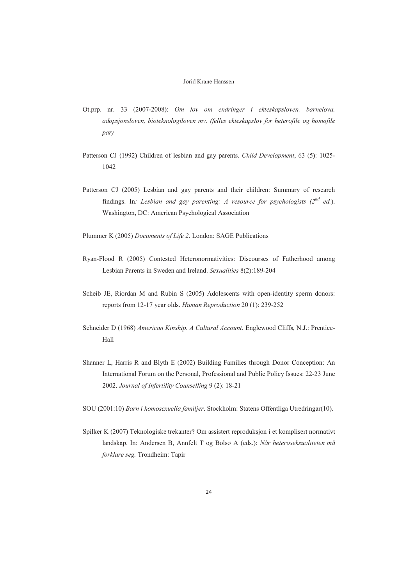- Ot.prp. nr. 33 (2007-2008): *Om lov om endringer i ekteskapsloven, barnelova*, adopsionsloven, bioteknologiloven mv. (felles ekteskapslov for heterofile og homofile  $par)$
- Patterson CJ (1992) Children of lesbian and gay parents. *Child Development*, 63 (5): 1025-1042
- Patterson CJ (2005) Lesbian and gay parents and their children: Summary of research findings. In: Lesbian and gay parenting: A resource for psychologists  $(2^{nd}$  ed.)  $\overline{\phantom{a}}$ Washington, DC: American Psychological Association

Plummer K (2005) *Documents of Life 2*. London: SAGE Publications

- Ryan-Flood R (2005) Contested Heteronormativities: Discourses of Fatherhood among Lesbian Parents in Sweden and Ireland. Sexualities 8(2):189-204
- Scheib JE, Riordan M and Rubin S  $(2005)$  Adolescents with open-identity sperm donors: reports from 12-17 year olds. *Human Reproduction* 20 (1): 239-252
- Schneider D (1968) American Kinship. A Cultural Account. Englewood Cliffs, N.J.: Prentice-Hall
- Shanner L, Harris R and Blyth E (2002) Building Families through Donor Conception: An International Forum on the Personal, Professional and Public Policy Issues: 22-23 June 2002. Journal of Infertility Counselling 9 (2): 18-21
- SOU (2001:10) *Barn i homosexuella familjer*. Stockholm: Statens Offentliga Utredringar(10).
- Spilker K (2007) Teknologiske trekanter? Om assistert reproduksjon i et komplisert normativt landskap. In: Andersen B, Annfelt T og Bolsø A (eds.): Når heteroseksualiteten må *forklare seg.* Trondheim: Tapir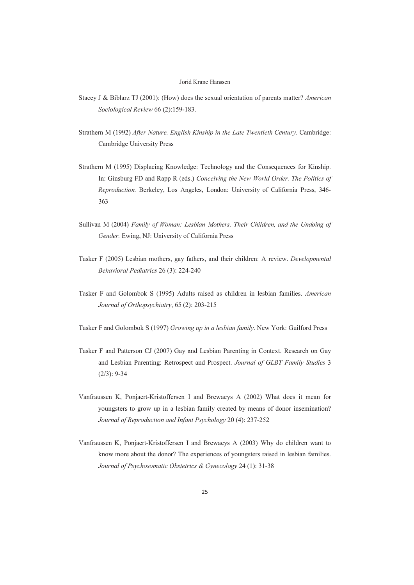- Stacey J & Biblarz TJ (2001): (How) does the sexual orientation of parents matter? American Sociological Review 66 (2):159-183.
- Strathern M (1992) After Nature. English Kinship in the Late Twentieth Century. Cambridge: Cambridge University Press
- Strathern M (1995) Displacing Knowledge: Technology and the Consequences for Kinship. In: Ginsburg FD and Rapp R (eds.) Conceiving the New World Order. The Politics of Reproduction. Berkeley, Los Angeles, London: University of California Press, 346-363
- Sullivan M (2004) Family of Woman: Lesbian Mothers, Their Children, and the Undoing of Gender. Ewing, NJ: University of California Press
- Tasker F (2005) Lesbian mothers, gay fathers, and their children: A review. *Developmental* Behavioral Pediatrics 26 (3): 224-240
- Tasker F and Golombok S (1995) Adults raised as children in lesbian families. American Journal of Orthopsychiatry, 65 (2): 203-215
- Tasker F and Golombok S (1997) Growing up in a lesbian family. New York: Guilford Press
- Tasker F and Patterson CJ (2007) Gay and Lesbian Parenting in Context. Research on Gay and Lesbian Parenting: Retrospect and Prospect. Journal of GLBT Family Studies 3  $(2/3): 9-34$
- Vanfraussen K, Ponjaert-Kristoffersen I and Brewaeys A (2002) What does it mean for youngsters to grow up in a lesbian family created by means of donor insemination? Journal of Reproduction and Infant Psychology 20 (4): 237-252
- Vanfraussen K, Ponjaert-Kristoffersen I and Brewaeys A (2003) Why do children want to know more about the donor? The experiences of youngsters raised in lesbian families. Journal of Psychosomatic Obstetrics & Gynecology 24 (1): 31-38